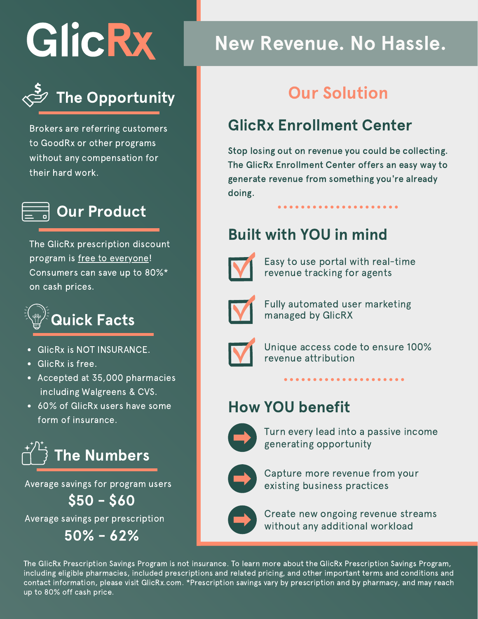GlicRx



Brokers are referring customers to GoodRx or other programs without any compensation for their hard work.



The GlicRx prescription discount program is free to everyone! Consumers can save up to 80%\* on cash prices.



- GlicRx is NOT INSURANCE.
- GlicRx is free.
- Accepted at 35,000 pharmacies including Walgreens & CVS.
- 60% of GlicRx users have some form of insurance.



Average savings for program users

Average savings per prescription  $$50 - $60$ 

50% - 62%

# New Revenue. No Hassle.

## Our Solution

## GlicRx Enrollment Center

Stop losing out on revenue you could be collecting. The GlicRx Enrollment Center offers an easy way to generate revenue from something you're already doing.

## Built with YOU in mind



Easy to use portal with real-time revenue tracking for agents



Fully automated user marketing managed by GlicRX



Unique access code to ensure 100% revenue attribution

## How YOU benefit



Turn every lead into a passive income generating opportunity



Capture more revenue from your existing business practices



Create new ongoing revenue streams without any additional workload

The GlicRx Prescription Savings Program is not insurance. To learn more about the GlicRx Prescription Savings Program, including eligible pharmacies, included prescriptions and related pricing, and other important terms and conditions and contact information, please visit GlicRx.com. \*Prescription savings vary by prescription and by pharmacy, and may reach up to 80% off cash price.